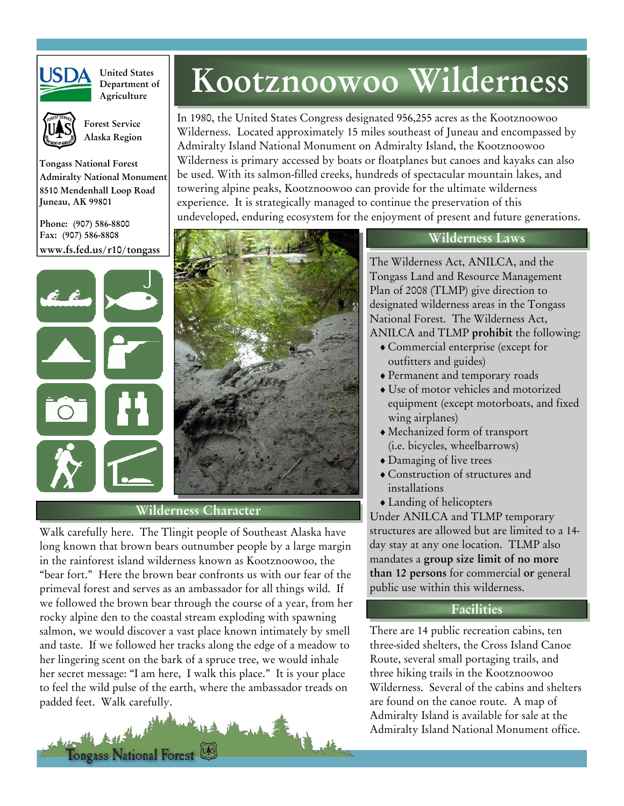

**United States Department of**



 **Forest Service Alaska Region** 

**Tongass National Forest Admiralty National Monument 8510 Mendenhall Loop Road Juneau, AK 99801** 

**Phone: (907) 586-8800 Fax: (907) 586-8808 www.fs.fed.us/r10/tongass** 





#### **Wilderness Character**

Walk carefully here. The Tlingit people of Southeast Alaska have long known that brown bears outnumber people by a large margin in the rainforest island wilderness known as Kootznoowoo, the "bear fort." Here the brown bear confronts us with our fear of the primeval forest and serves as an ambassador for all things wild. If we followed the brown bear through the course of a year, from her rocky alpine den to the coastal stream exploding with spawning salmon, we would discover a vast place known intimately by smell and taste. If we followed her tracks along the edge of a meadow to her lingering scent on the bark of a spruce tree, we would inhale her secret message: "I am here, I walk this place." It is your place to feel the wild pulse of the earth, where the ambassador treads on padded feet. Walk carefully.



# **Marted States Kootznoowoo Wilderness**

In 1980, the United States Congress designated 956,255 acres as the Kootznoowoo Wilderness. Located approximately 15 miles southeast of Juneau and encompassed by Admiralty Island National Monument on Admiralty Island, the Kootznoowoo Wilderness is primary accessed by boats or floatplanes but canoes and kayaks can also be used. With its salmon-filled creeks, hundreds of spectacular mountain lakes, and towering alpine peaks, Kootznoowoo can provide for the ultimate wilderness experience. It is strategically managed to continue the preservation of this undeveloped, enduring ecosystem for the enjoyment of present and future generations.

#### **Wilderness Laws**

The Wilderness Act, ANILCA, and the Tongass Land and Resource Management Plan of 2008 (TLMP) give direction to designated wilderness areas in the Tongass National Forest. The Wilderness Act, ANILCA and TLMP **prohibit** the following:

- ♦ Commercial enterprise (except for outfitters and guides)
- ♦ Permanent and temporary roads
- ♦ Use of motor vehicles and motorized equipment (except motorboats, and fixed wing airplanes)
- ♦ Mechanized form of transport (i.e. bicycles, wheelbarrows)
- ♦ Damaging of live trees
- ♦ Construction of structures and installations
- ♦ Landing of helicopters

Under ANILCA and TLMP temporary structures are allowed but are limited to a 14 day stay at any one location. TLMP also mandates a **group size limit of no more than 12 persons** for commercial **or** general public use within this wilderness.

### **Facilities**

There are 14 public recreation cabins, ten three-sided shelters, the Cross Island Canoe Route, several small portaging trails, and three hiking trails in the Kootznoowoo Wilderness. Several of the cabins and shelters are found on the canoe route. A map of Admiralty Island is available for sale at the Admiralty Island National Monument office.